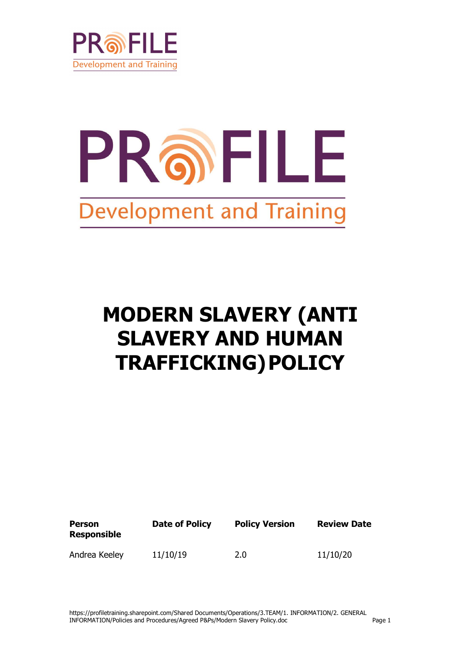

# PROFILE **Development and Training**

# **MODERN SLAVERY (ANTI SLAVERY AND HUMAN TRAFFICKING)POLICY**

| <b>Person</b><br><b>Responsible</b> | Date of Policy | <b>Policy Version</b> | <b>Review Date</b> |
|-------------------------------------|----------------|-----------------------|--------------------|
| Andrea Keeley                       | 11/10/19       | 2.0                   | 11/10/20           |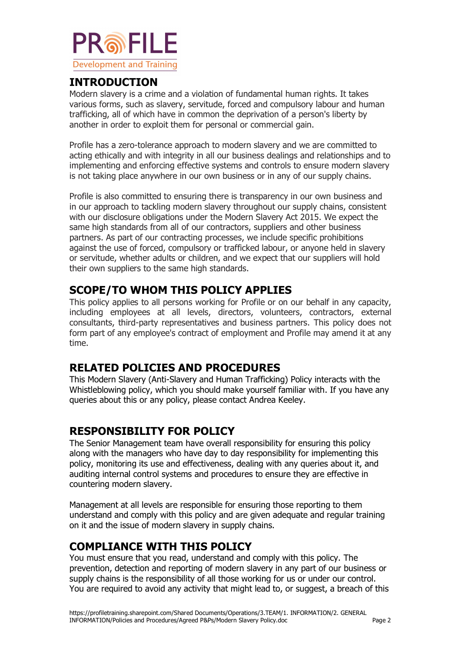

#### **INTRODUCTION**

Modern slavery is a crime and a violation of fundamental human rights. It takes various forms, such as slavery, servitude, forced and compulsory labour and human trafficking, all of which have in common the deprivation of a person's liberty by another in order to exploit them for personal or commercial gain.

Profile has a zero-tolerance approach to modern slavery and we are committed to acting ethically and with integrity in all our business dealings and relationships and to implementing and enforcing effective systems and controls to ensure modern slavery is not taking place anywhere in our own business or in any of our supply chains.

Profile is also committed to ensuring there is transparency in our own business and in our approach to tackling modern slavery throughout our supply chains, consistent with our disclosure obligations under the Modern Slavery Act 2015. We expect the same high standards from all of our contractors, suppliers and other business partners. As part of our contracting processes, we include specific prohibitions against the use of forced, compulsory or trafficked labour, or anyone held in slavery or servitude, whether adults or children, and we expect that our suppliers will hold their own suppliers to the same high standards.

## **SCOPE/TO WHOM THIS POLICY APPLIES**

This policy applies to all persons working for Profile or on our behalf in any capacity, including employees at all levels, directors, volunteers, contractors, external consultants, third-party representatives and business partners. This policy does not form part of any employee's contract of employment and Profile may amend it at any time.

#### **RELATED POLICIES AND PROCEDURES**

This Modern Slavery (Anti-Slavery and Human Trafficking) Policy interacts with the Whistleblowing policy, which you should make yourself familiar with. If you have any queries about this or any policy, please contact Andrea Keeley.

## **RESPONSIBILITY FOR POLICY**

The Senior Management team have overall responsibility for ensuring this policy along with the managers who have day to day responsibility for implementing this policy, monitoring its use and effectiveness, dealing with any queries about it, and auditing internal control systems and procedures to ensure they are effective in countering modern slavery.

Management at all levels are responsible for ensuring those reporting to them understand and comply with this policy and are given adequate and regular training on it and the issue of modern slavery in supply chains.

## **COMPLIANCE WITH THIS POLICY**

You must ensure that you read, understand and comply with this policy. The prevention, detection and reporting of modern slavery in any part of our business or supply chains is the responsibility of all those working for us or under our control. You are required to avoid any activity that might lead to, or suggest, a breach of this